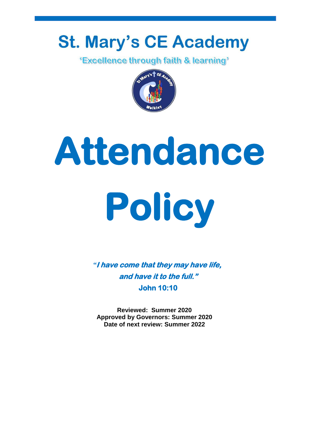## **St. Mary's CE Academy**

*'Excellence through faith & learning'* 



# **Attendance Policy**

*"***I have come that they may have life, and have it to the full." John 10:10** 

**Reviewed: Summer 2020 Approved by Governors: Summer 2020 Date of next review: Summer 2022**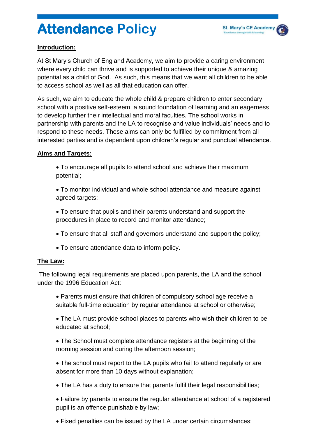### **Attendance Policy**

#### **Introduction:**

At St Mary's Church of England Academy, we aim to provide a caring environment where every child can thrive and is supported to achieve their unique & amazing potential as a child of God. As such, this means that we want all children to be able to access school as well as all that education can offer.

As such, we aim to educate the whole child & prepare children to enter secondary school with a positive self-esteem, a sound foundation of learning and an eagerness to develop further their intellectual and moral faculties. The school works in partnership with parents and the LA to recognise and value individuals' needs and to respond to these needs. These aims can only be fulfilled by commitment from all interested parties and is dependent upon children's regular and punctual attendance.

#### **Aims and Targets:**

- To encourage all pupils to attend school and achieve their maximum potential;
- To monitor individual and whole school attendance and measure against agreed targets;

 To ensure that pupils and their parents understand and support the procedures in place to record and monitor attendance;

- To ensure that all staff and governors understand and support the policy;
- To ensure attendance data to inform policy.

#### **The Law:**

The following legal requirements are placed upon parents, the LA and the school under the 1996 Education Act:

 Parents must ensure that children of compulsory school age receive a suitable full-time education by regular attendance at school or otherwise;

 The LA must provide school places to parents who wish their children to be educated at school;

 The School must complete attendance registers at the beginning of the morning session and during the afternoon session;

• The school must report to the LA pupils who fail to attend regularly or are absent for more than 10 days without explanation;

The LA has a duty to ensure that parents fulfil their legal responsibilities;

 Failure by parents to ensure the regular attendance at school of a registered pupil is an offence punishable by law;

Fixed penalties can be issued by the LA under certain circumstances;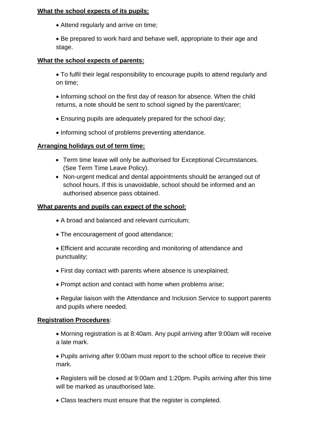#### **What the school expects of its pupils:**

Attend regularly and arrive on time;

• Be prepared to work hard and behave well, appropriate to their age and stage.

#### **What the school expects of parents:**

 To fulfil their legal responsibility to encourage pupils to attend regularly and on time;

• Informing school on the first day of reason for absence. When the child returns, a note should be sent to school signed by the parent/carer;

- Ensuring pupils are adequately prepared for the school day;
- Informing school of problems preventing attendance.

#### **Arranging holidays out of term time:**

- Term time leave will only be authorised for Exceptional Circumstances. (See Term Time Leave Policy).
- Non-urgent medical and dental appointments should be arranged out of school hours. If this is unavoidable, school should be informed and an authorised absence pass obtained.

#### **What parents and pupils can expect of the school:**

- A broad and balanced and relevant curriculum;
- The encouragement of good attendance;
- Efficient and accurate recording and monitoring of attendance and punctuality;
- First day contact with parents where absence is unexplained;
- Prompt action and contact with home when problems arise;
- Regular liaison with the Attendance and Inclusion Service to support parents and pupils where needed.

#### **Registration Procedures**:

 Morning registration is at 8:40am. Any pupil arriving after 9:00am will receive a late mark.

 Pupils arriving after 9:00am must report to the school office to receive their mark.

 Registers will be closed at 9:00am and 1:20pm. Pupils arriving after this time will be marked as unauthorised late.

Class teachers must ensure that the register is completed.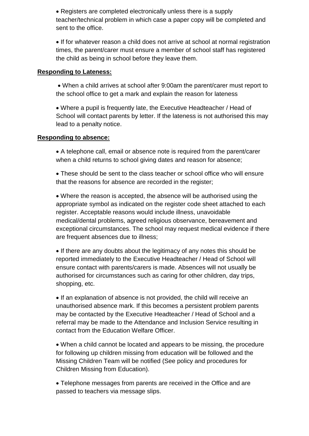Registers are completed electronically unless there is a supply teacher/technical problem in which case a paper copy will be completed and sent to the office.

 If for whatever reason a child does not arrive at school at normal registration times, the parent/carer must ensure a member of school staff has registered the child as being in school before they leave them.

#### **Responding to Lateness:**

 When a child arrives at school after 9:00am the parent/carer must report to the school office to get a mark and explain the reason for lateness

 Where a pupil is frequently late, the Executive Headteacher / Head of School will contact parents by letter. If the lateness is not authorised this may lead to a penalty notice.

#### **Responding to absence:**

 A telephone call, email or absence note is required from the parent/carer when a child returns to school giving dates and reason for absence;

 These should be sent to the class teacher or school office who will ensure that the reasons for absence are recorded in the register;

 Where the reason is accepted, the absence will be authorised using the appropriate symbol as indicated on the register code sheet attached to each register. Acceptable reasons would include illness, unavoidable medical/dental problems, agreed religious observance, bereavement and exceptional circumstances. The school may request medical evidence if there are frequent absences due to illness;

• If there are any doubts about the legitimacy of any notes this should be reported immediately to the Executive Headteacher / Head of School will ensure contact with parents/carers is made. Absences will not usually be authorised for circumstances such as caring for other children, day trips, shopping, etc.

• If an explanation of absence is not provided, the child will receive an unauthorised absence mark. If this becomes a persistent problem parents may be contacted by the Executive Headteacher / Head of School and a referral may be made to the Attendance and Inclusion Service resulting in contact from the Education Welfare Officer.

 When a child cannot be located and appears to be missing, the procedure for following up children missing from education will be followed and the Missing Children Team will be notified (See policy and procedures for Children Missing from Education).

 Telephone messages from parents are received in the Office and are passed to teachers via message slips.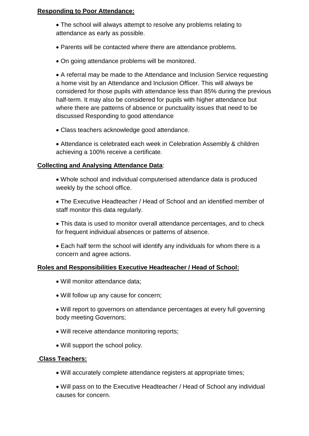#### **Responding to Poor Attendance:**

 The school will always attempt to resolve any problems relating to attendance as early as possible.

- Parents will be contacted where there are attendance problems.
- On going attendance problems will be monitored.

 A referral may be made to the Attendance and Inclusion Service requesting a home visit by an Attendance and Inclusion Officer. This will always be considered for those pupils with attendance less than 85% during the previous half-term. It may also be considered for pupils with higher attendance but where there are patterns of absence or punctuality issues that need to be discussed Responding to good attendance

- Class teachers acknowledge good attendance.
- Attendance is celebrated each week in Celebration Assembly & children achieving a 100% receive a certificate.

#### **Collecting and Analysing Attendance Data**:

- Whole school and individual computerised attendance data is produced weekly by the school office.
- The Executive Headteacher / Head of School and an identified member of staff monitor this data regularly.
- This data is used to monitor overall attendance percentages, and to check for frequent individual absences or patterns of absence.
- Each half term the school will identify any individuals for whom there is a concern and agree actions.

#### **Roles and Responsibilities Executive Headteacher / Head of School:**

- Will monitor attendance data;
- Will follow up any cause for concern;
- Will report to governors on attendance percentages at every full governing body meeting Governors;
- Will receive attendance monitoring reports;
- Will support the school policy.

#### **Class Teachers:**

- Will accurately complete attendance registers at appropriate times;
- Will pass on to the Executive Headteacher / Head of School any individual causes for concern.